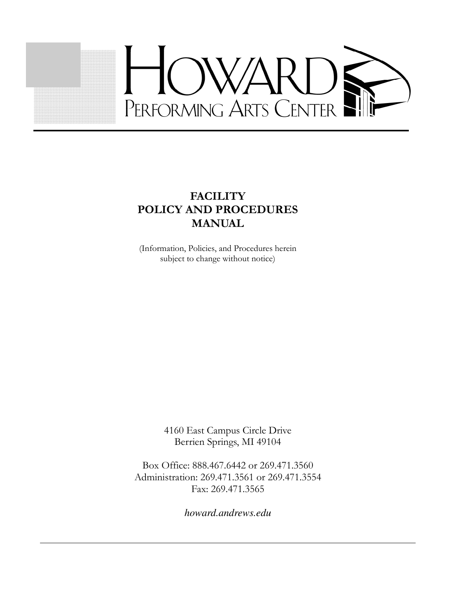

## **FACILITY** POLICY AND PROCEDURES **MANUAL**

(Information, Policies, and Procedures herein subject to change without notice)

> 4160 East Campus Circle Drive Berrien Springs, MI 49104

Box Office: 888.467.6442 or 269.471.3560 Administration: 269.471.3561 or 269.471.3554 Fax: 269.471.3565

*howard.andrews.edu*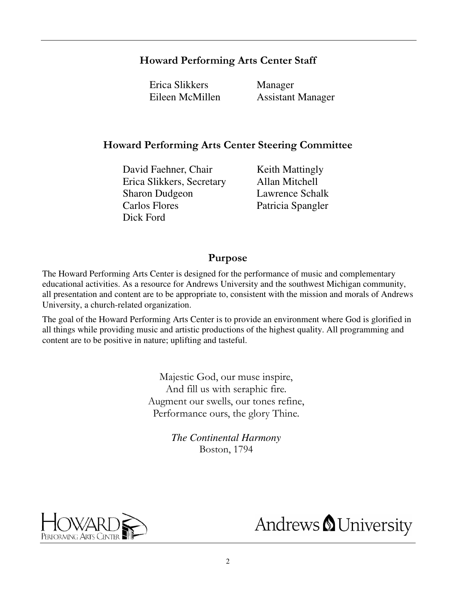### Howard Performing Arts Center Staff

Erica Slikkers Manager

Eileen McMillen Assistant Manager

#### Howard Performing Arts Center Steering Committee

David Faehner, Chair Keith Mattingly Erica Slikkers, Secretary Allan Mitchell Sharon Dudgeon Lawrence Schalk Carlos Flores Patricia Spangler Dick Ford

#### Purpose

The Howard Performing Arts Center is designed for the performance of music and complementary educational activities. As a resource for Andrews University and the southwest Michigan community, all presentation and content are to be appropriate to, consistent with the mission and morals of Andrews University, a church-related organization.

The goal of the Howard Performing Arts Center is to provide an environment where God is glorified in all things while providing music and artistic productions of the highest quality. All programming and content are to be positive in nature; uplifting and tasteful.

> Majestic God, our muse inspire, And fill us with seraphic fire. Augment our swells, our tones refine, Performance ours, the glory Thine.

> > *The Continental Harmony* Boston, 1794



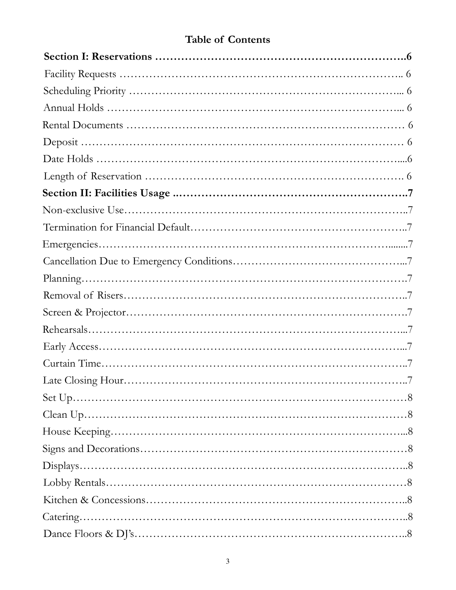# Table of Contents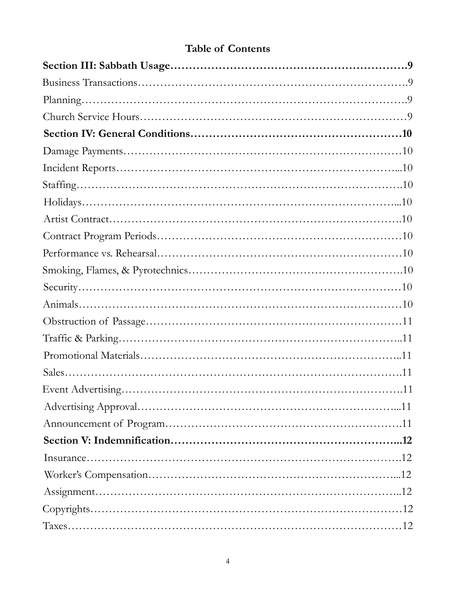## Table of Contents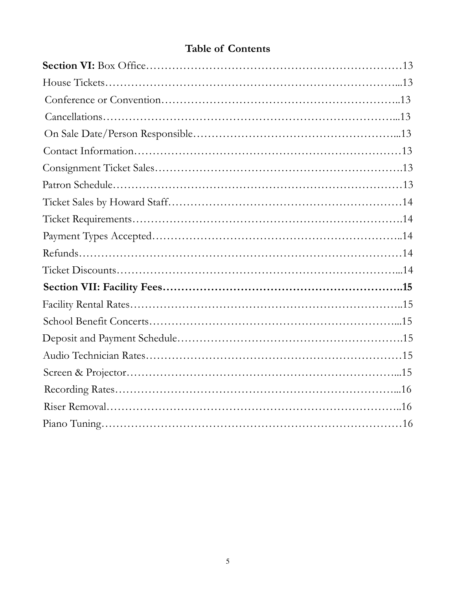## Table of Contents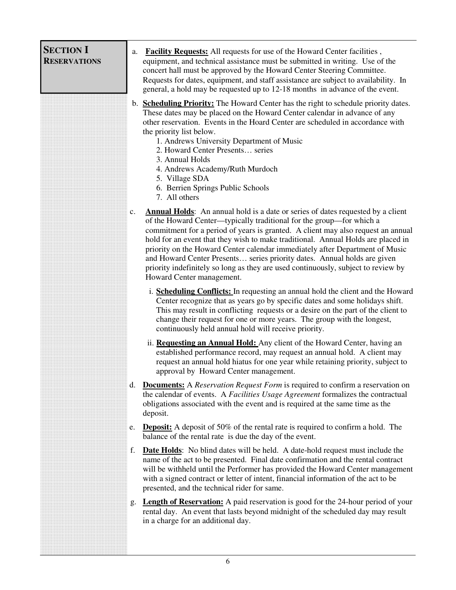<span id="page-5-0"></span>

| <b>SECTION I</b><br><b>RESERVATIONS</b> | <b>Facility Requests:</b> All requests for use of the Howard Center facilities,<br>a.<br>equipment, and technical assistance must be submitted in writing. Use of the<br>concert hall must be approved by the Howard Center Steering Committee.<br>Requests for dates, equipment, and staff assistance are subject to availability. In<br>general, a hold may be requested up to 12-18 months in advance of the event.                                                                                                                                                                                                     |
|-----------------------------------------|----------------------------------------------------------------------------------------------------------------------------------------------------------------------------------------------------------------------------------------------------------------------------------------------------------------------------------------------------------------------------------------------------------------------------------------------------------------------------------------------------------------------------------------------------------------------------------------------------------------------------|
|                                         | b. <b>Scheduling Priority:</b> The Howard Center has the right to schedule priority dates.<br>These dates may be placed on the Howard Center calendar in advance of any<br>other reservation. Events in the Hoard Center are scheduled in accordance with<br>the priority list below.<br>1. Andrews University Department of Music<br>2. Howard Center Presents series<br>3. Annual Holds<br>4. Andrews Academy/Ruth Murdoch<br>5. Village SDA<br>6. Berrien Springs Public Schools<br>7. All others                                                                                                                       |
|                                         | <b>Annual Holds:</b> An annual hold is a date or series of dates requested by a client<br>c.<br>of the Howard Center—typically traditional for the group—for which a<br>commitment for a period of years is granted. A client may also request an annual<br>hold for an event that they wish to make traditional. Annual Holds are placed in<br>priority on the Howard Center calendar immediately after Department of Music<br>and Howard Center Presents series priority dates. Annual holds are given<br>priority indefinitely so long as they are used continuously, subject to review by<br>Howard Center management. |
|                                         | i. <b>Scheduling Conflicts:</b> In requesting an annual hold the client and the Howard<br>Center recognize that as years go by specific dates and some holidays shift.<br>This may result in conflicting requests or a desire on the part of the client to<br>change their request for one or more years. The group with the longest,<br>continuously held annual hold will receive priority.                                                                                                                                                                                                                              |
|                                         | ii. <b>Requesting an Annual Hold:</b> Any client of the Howard Center, having an<br>established performance record, may request an annual hold. A client may<br>request an annual hold hiatus for one year while retaining priority, subject to<br>approval by Howard Center management.                                                                                                                                                                                                                                                                                                                                   |
|                                         | <b>Documents:</b> A Reservation Request Form is required to confirm a reservation on<br>$d_{\cdot}$<br>the calendar of events. A Facilities Usage Agreement formalizes the contractual<br>obligations associated with the event and is required at the same time as the<br>deposit.                                                                                                                                                                                                                                                                                                                                        |
|                                         | <b>Deposit:</b> A deposit of 50% of the rental rate is required to confirm a hold. The<br>e.<br>balance of the rental rate is due the day of the event.                                                                                                                                                                                                                                                                                                                                                                                                                                                                    |
|                                         | f.<br><b>Date Holds:</b> No blind dates will be held. A date-hold request must include the<br>name of the act to be presented. Final date confirmation and the rental contract<br>will be withheld until the Performer has provided the Howard Center management<br>with a signed contract or letter of intent, financial information of the act to be<br>presented, and the technical rider for same.                                                                                                                                                                                                                     |
|                                         | <b>Length of Reservation:</b> A paid reservation is good for the 24-hour period of your<br>g.<br>rental day. An event that lasts beyond midnight of the scheduled day may result<br>in a charge for an additional day.                                                                                                                                                                                                                                                                                                                                                                                                     |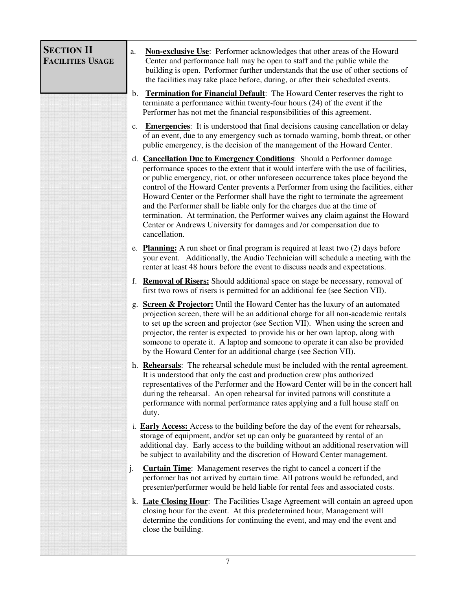<span id="page-6-0"></span>

| <b>SECTION II</b><br><b>FACILITIES USAGE</b> | a.             | Non-exclusive Use: Performer acknowledges that other areas of the Howard<br>Center and performance hall may be open to staff and the public while the<br>building is open. Performer further understands that the use of other sections of<br>the facilities may take place before, during, or after their scheduled events.                                                                                                                                                                                                                                                                                                                                                               |
|----------------------------------------------|----------------|--------------------------------------------------------------------------------------------------------------------------------------------------------------------------------------------------------------------------------------------------------------------------------------------------------------------------------------------------------------------------------------------------------------------------------------------------------------------------------------------------------------------------------------------------------------------------------------------------------------------------------------------------------------------------------------------|
|                                              | $\mathbf{b}$ . | <b>Termination for Financial Default:</b> The Howard Center reserves the right to<br>terminate a performance within twenty-four hours (24) of the event if the<br>Performer has not met the financial responsibilities of this agreement.                                                                                                                                                                                                                                                                                                                                                                                                                                                  |
|                                              | $c_{\cdot}$    | <b>Emergencies:</b> It is understood that final decisions causing cancellation or delay<br>of an event, due to any emergency such as tornado warning, bomb threat, or other<br>public emergency, is the decision of the management of the Howard Center.                                                                                                                                                                                                                                                                                                                                                                                                                                   |
|                                              |                | d. <b>Cancellation Due to Emergency Conditions:</b> Should a Performer damage<br>performance spaces to the extent that it would interfere with the use of facilities,<br>or public emergency, riot, or other unforeseen occurrence takes place beyond the<br>control of the Howard Center prevents a Performer from using the facilities, either<br>Howard Center or the Performer shall have the right to terminate the agreement<br>and the Performer shall be liable only for the charges due at the time of<br>termination. At termination, the Performer waives any claim against the Howard<br>Center or Andrews University for damages and /or compensation due to<br>cancellation. |
|                                              |                | e. <b>Planning:</b> A run sheet or final program is required at least two $(2)$ days before<br>your event. Additionally, the Audio Technician will schedule a meeting with the<br>renter at least 48 hours before the event to discuss needs and expectations.                                                                                                                                                                                                                                                                                                                                                                                                                             |
|                                              |                | f. <b>Removal of Risers:</b> Should additional space on stage be necessary, removal of<br>first two rows of risers is permitted for an additional fee (see Section VII).                                                                                                                                                                                                                                                                                                                                                                                                                                                                                                                   |
|                                              |                | <b>Screen &amp; Projector:</b> Until the Howard Center has the luxury of an automated<br>projection screen, there will be an additional charge for all non-academic rentals<br>to set up the screen and projector (see Section VII). When using the screen and<br>projector, the renter is expected to provide his or her own laptop, along with<br>someone to operate it. A laptop and someone to operate it can also be provided<br>by the Howard Center for an additional charge (see Section VII).                                                                                                                                                                                     |
|                                              |                | h. Rehearsals: The rehearsal schedule must be included with the rental agreement.<br>It is understood that only the cast and production crew plus authorized<br>representatives of the Performer and the Howard Center will be in the concert hall<br>during the rehearsal. An open rehearsal for invited patrons will constitute a<br>performance with normal performance rates applying and a full house staff on<br>duty.                                                                                                                                                                                                                                                               |
|                                              |                | i. <b>Early Access:</b> Access to the building before the day of the event for rehearsals,<br>storage of equipment, and/or set up can only be guaranteed by rental of an<br>additional day. Early access to the building without an additional reservation will<br>be subject to availability and the discretion of Howard Center management.                                                                                                                                                                                                                                                                                                                                              |
|                                              | j.             | <b>Curtain Time:</b> Management reserves the right to cancel a concert if the<br>performer has not arrived by curtain time. All patrons would be refunded, and<br>presenter/performer would be held liable for rental fees and associated costs.                                                                                                                                                                                                                                                                                                                                                                                                                                           |
|                                              |                | k. Late Closing Hour: The Facilities Usage Agreement will contain an agreed upon<br>closing hour for the event. At this predetermined hour, Management will<br>determine the conditions for continuing the event, and may end the event and<br>close the building.                                                                                                                                                                                                                                                                                                                                                                                                                         |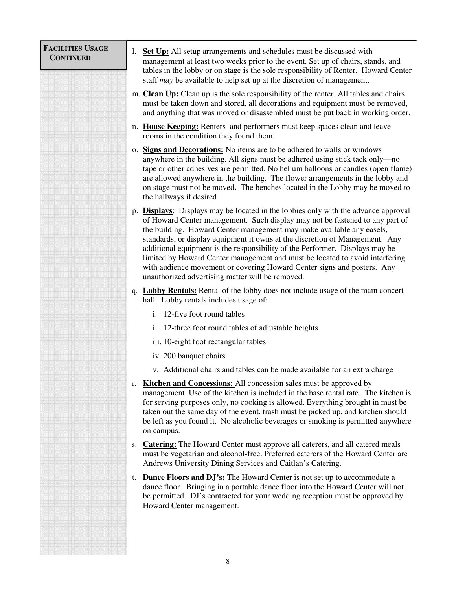<span id="page-7-0"></span>

| <b>FACILITIES USAGE</b><br><b>CONTINUED</b> | <b>Set Up:</b> All setup arrangements and schedules must be discussed with<br>1.<br>management at least two weeks prior to the event. Set up of chairs, stands, and<br>tables in the lobby or on stage is the sole responsibility of Renter. Howard Center<br>staff <i>may</i> be available to help set up at the discretion of management.                                                                                                                                                                                                                                                                                        |
|---------------------------------------------|------------------------------------------------------------------------------------------------------------------------------------------------------------------------------------------------------------------------------------------------------------------------------------------------------------------------------------------------------------------------------------------------------------------------------------------------------------------------------------------------------------------------------------------------------------------------------------------------------------------------------------|
|                                             | m. Clean Up: Clean up is the sole responsibility of the renter. All tables and chairs<br>must be taken down and stored, all decorations and equipment must be removed,<br>and anything that was moved or disassembled must be put back in working order.                                                                                                                                                                                                                                                                                                                                                                           |
|                                             | n. House Keeping: Renters and performers must keep spaces clean and leave<br>rooms in the condition they found them.                                                                                                                                                                                                                                                                                                                                                                                                                                                                                                               |
|                                             | o. Signs and Decorations: No items are to be adhered to walls or windows<br>anywhere in the building. All signs must be adhered using stick tack only—no<br>tape or other adhesives are permitted. No helium balloons or candles (open flame)<br>are allowed anywhere in the building. The flower arrangements in the lobby and<br>on stage must not be moved. The benches located in the Lobby may be moved to<br>the hallways if desired.                                                                                                                                                                                        |
|                                             | p. <b>Displays</b> : Displays may be located in the lobbies only with the advance approval<br>of Howard Center management. Such display may not be fastened to any part of<br>the building. Howard Center management may make available any easels,<br>standards, or display equipment it owns at the discretion of Management. Any<br>additional equipment is the responsibility of the Performer. Displays may be<br>limited by Howard Center management and must be located to avoid interfering<br>with audience movement or covering Howard Center signs and posters. Any<br>unauthorized advertising matter will be removed. |
|                                             | <b>Lobby Rentals:</b> Rental of the lobby does not include usage of the main concert<br>q.<br>hall. Lobby rentals includes usage of:                                                                                                                                                                                                                                                                                                                                                                                                                                                                                               |
|                                             | i. 12-five foot round tables                                                                                                                                                                                                                                                                                                                                                                                                                                                                                                                                                                                                       |
|                                             | ii. 12-three foot round tables of adjustable heights                                                                                                                                                                                                                                                                                                                                                                                                                                                                                                                                                                               |
|                                             | iii. 10-eight foot rectangular tables                                                                                                                                                                                                                                                                                                                                                                                                                                                                                                                                                                                              |
|                                             | iv. 200 banquet chairs                                                                                                                                                                                                                                                                                                                                                                                                                                                                                                                                                                                                             |
|                                             | v. Additional chairs and tables can be made available for an extra charge                                                                                                                                                                                                                                                                                                                                                                                                                                                                                                                                                          |
|                                             | <b>Kitchen and Concessions:</b> All concession sales must be approved by<br>r.<br>management. Use of the kitchen is included in the base rental rate. The kitchen is<br>for serving purposes only, no cooking is allowed. Everything brought in must be<br>taken out the same day of the event, trash must be picked up, and kitchen should<br>be left as you found it. No alcoholic beverages or smoking is permitted anywhere<br>on campus.                                                                                                                                                                                      |
|                                             | <b>Catering:</b> The Howard Center must approve all caterers, and all catered meals<br>S.<br>must be vegetarian and alcohol-free. Preferred caterers of the Howard Center are<br>Andrews University Dining Services and Caitlan's Catering.                                                                                                                                                                                                                                                                                                                                                                                        |
|                                             | <b>Dance Floors and DJ's:</b> The Howard Center is not set up to accommodate a<br>t.<br>dance floor. Bringing in a portable dance floor into the Howard Center will not<br>be permitted. DJ's contracted for your wedding reception must be approved by<br>Howard Center management.                                                                                                                                                                                                                                                                                                                                               |
|                                             |                                                                                                                                                                                                                                                                                                                                                                                                                                                                                                                                                                                                                                    |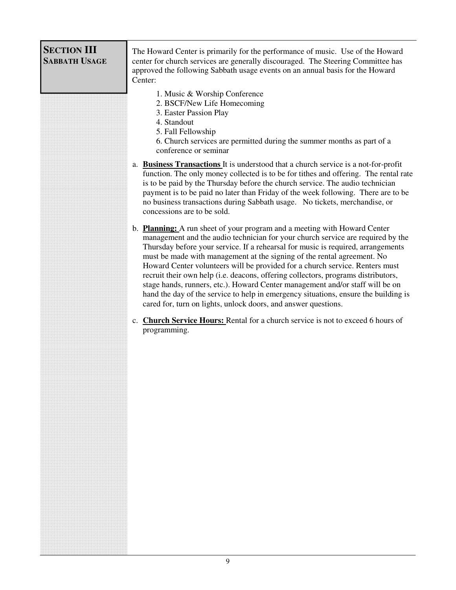<span id="page-8-0"></span>

| <b>SECTION III</b><br><b>SABBATH USAGE</b> | The Howard Center is primarily for the performance of music. Use of the Howard<br>center for church services are generally discouraged. The Steering Committee has<br>approved the following Sabbath usage events on an annual basis for the Howard<br>Center:                                                                                                                                                                                                                                                                                                                                                                                                                                                                             |
|--------------------------------------------|--------------------------------------------------------------------------------------------------------------------------------------------------------------------------------------------------------------------------------------------------------------------------------------------------------------------------------------------------------------------------------------------------------------------------------------------------------------------------------------------------------------------------------------------------------------------------------------------------------------------------------------------------------------------------------------------------------------------------------------------|
|                                            | 1. Music & Worship Conference<br>2. BSCF/New Life Homecoming<br>3. Easter Passion Play<br>4. Standout<br>5. Fall Fellowship<br>6. Church services are permitted during the summer months as part of a<br>conference or seminar                                                                                                                                                                                                                                                                                                                                                                                                                                                                                                             |
|                                            | a. Business Transactions It is understood that a church service is a not-for-profit<br>function. The only money collected is to be for tithes and offering. The rental rate<br>is to be paid by the Thursday before the church service. The audio technician<br>payment is to be paid no later than Friday of the week following. There are to be<br>no business transactions during Sabbath usage. No tickets, merchandise, or<br>concessions are to be sold.                                                                                                                                                                                                                                                                             |
|                                            | b. Planning: A run sheet of your program and a meeting with Howard Center<br>management and the audio technician for your church service are required by the<br>Thursday before your service. If a rehearsal for music is required, arrangements<br>must be made with management at the signing of the rental agreement. No<br>Howard Center volunteers will be provided for a church service. Renters must<br>recruit their own help (i.e. deacons, offering collectors, programs distributors,<br>stage hands, runners, etc.). Howard Center management and/or staff will be on<br>hand the day of the service to help in emergency situations, ensure the building is<br>cared for, turn on lights, unlock doors, and answer questions. |
|                                            | c. Church Service Hours: Rental for a church service is not to exceed 6 hours of<br>programming.                                                                                                                                                                                                                                                                                                                                                                                                                                                                                                                                                                                                                                           |
|                                            |                                                                                                                                                                                                                                                                                                                                                                                                                                                                                                                                                                                                                                                                                                                                            |
|                                            |                                                                                                                                                                                                                                                                                                                                                                                                                                                                                                                                                                                                                                                                                                                                            |
|                                            |                                                                                                                                                                                                                                                                                                                                                                                                                                                                                                                                                                                                                                                                                                                                            |
|                                            |                                                                                                                                                                                                                                                                                                                                                                                                                                                                                                                                                                                                                                                                                                                                            |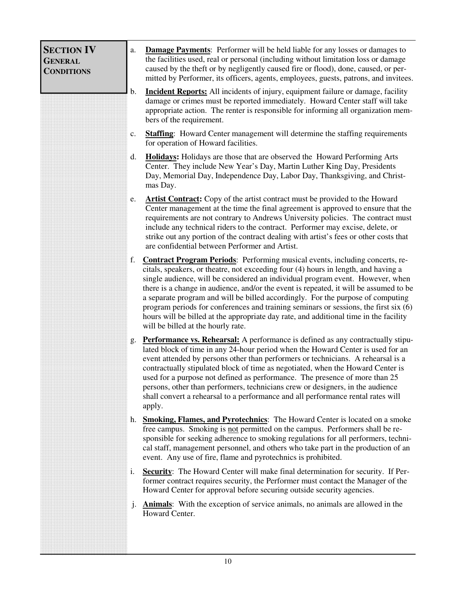<span id="page-9-0"></span>

| <b>SECTION IV</b><br><b>GENERAL</b><br><b>CONDITIONS</b> | a.             | Damage Payments: Performer will be held liable for any losses or damages to<br>the facilities used, real or personal (including without limitation loss or damage<br>caused by the theft or by negligently caused fire or flood), done, caused, or per-<br>mitted by Performer, its officers, agents, employees, guests, patrons, and invitees.                                                                                                                                                                                                                                                                                                                     |
|----------------------------------------------------------|----------------|---------------------------------------------------------------------------------------------------------------------------------------------------------------------------------------------------------------------------------------------------------------------------------------------------------------------------------------------------------------------------------------------------------------------------------------------------------------------------------------------------------------------------------------------------------------------------------------------------------------------------------------------------------------------|
|                                                          | b.             | <b>Incident Reports:</b> All incidents of injury, equipment failure or damage, facility<br>damage or crimes must be reported immediately. Howard Center staff will take<br>appropriate action. The renter is responsible for informing all organization mem-<br>bers of the requirement.                                                                                                                                                                                                                                                                                                                                                                            |
|                                                          | c.             | <b>Staffing:</b> Howard Center management will determine the staffing requirements<br>for operation of Howard facilities.                                                                                                                                                                                                                                                                                                                                                                                                                                                                                                                                           |
|                                                          | d.             | <b>Holidays:</b> Holidays are those that are observed the Howard Performing Arts<br>Center. They include New Year's Day, Martin Luther King Day, Presidents<br>Day, Memorial Day, Independence Day, Labor Day, Thanksgiving, and Christ-<br>mas Day.                                                                                                                                                                                                                                                                                                                                                                                                                |
|                                                          | e.             | <b>Artist Contract:</b> Copy of the artist contract must be provided to the Howard<br>Center management at the time the final agreement is approved to ensure that the<br>requirements are not contrary to Andrews University policies. The contract must<br>include any technical riders to the contract. Performer may excise, delete, or<br>strike out any portion of the contract dealing with artist's fees or other costs that<br>are confidential between Performer and Artist.                                                                                                                                                                              |
|                                                          | f.             | <b>Contract Program Periods:</b> Performing musical events, including concerts, re-<br>citals, speakers, or theatre, not exceeding four (4) hours in length, and having a<br>single audience, will be considered an individual program event. However, when<br>there is a change in audience, and/or the event is repeated, it will be assumed to be<br>a separate program and will be billed accordingly. For the purpose of computing<br>program periods for conferences and training seminars or sessions, the first $s$ ix $(6)$<br>hours will be billed at the appropriate day rate, and additional time in the facility<br>will be billed at the hourly rate. |
|                                                          | g.             | <b>Performance vs. Rehearsal:</b> A performance is defined as any contractually stipu-<br>lated block of time in any 24-hour period when the Howard Center is used for an<br>event attended by persons other than performers or technicians. A rehearsal is a<br>contractually stipulated block of time as negotiated, when the Howard Center is<br>used for a purpose not defined as performance. The presence of more than 25<br>persons, other than performers, technicians crew or designers, in the audience<br>shall convert a rehearsal to a performance and all performance rental rates will<br>apply.                                                     |
|                                                          | h.             | <b>Smoking, Flames, and Pyrotechnics:</b> The Howard Center is located on a smoke<br>free campus. Smoking is not permitted on the campus. Performers shall be re-<br>sponsible for seeking adherence to smoking regulations for all performers, techni-<br>cal staff, management personnel, and others who take part in the production of an<br>event. Any use of fire, flame and pyrotechnics is prohibited.                                                                                                                                                                                                                                                       |
|                                                          | i.             | <b>Security:</b> The Howard Center will make final determination for security. If Per-<br>former contract requires security, the Performer must contact the Manager of the<br>Howard Center for approval before securing outside security agencies.                                                                                                                                                                                                                                                                                                                                                                                                                 |
|                                                          | $\mathbf{j}$ . | Animals: With the exception of service animals, no animals are allowed in the<br>Howard Center.                                                                                                                                                                                                                                                                                                                                                                                                                                                                                                                                                                     |
|                                                          |                |                                                                                                                                                                                                                                                                                                                                                                                                                                                                                                                                                                                                                                                                     |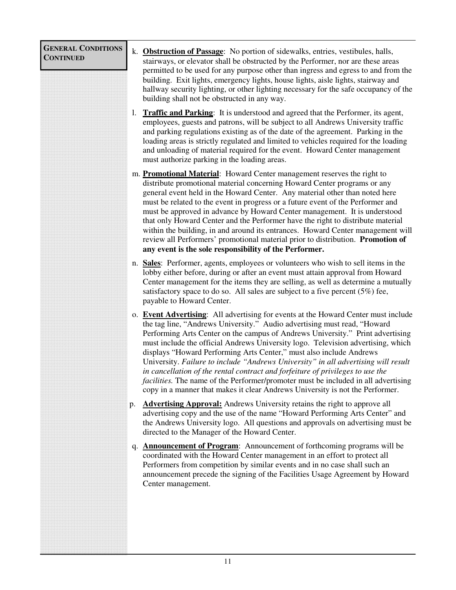<span id="page-10-0"></span>

| <b>GENERAL CONDITIONS</b><br><b>CONTINUED</b> |    | k. <b>Obstruction of Passage:</b> No portion of sidewalks, entries, vestibules, halls,<br>stairways, or elevator shall be obstructed by the Performer, nor are these areas<br>permitted to be used for any purpose other than ingress and egress to and from the<br>building. Exit lights, emergency lights, house lights, aisle lights, stairway and<br>hallway security lighting, or other lighting necessary for the safe occupancy of the<br>building shall not be obstructed in any way.                                                                                                                                                                                                                                                                      |
|-----------------------------------------------|----|--------------------------------------------------------------------------------------------------------------------------------------------------------------------------------------------------------------------------------------------------------------------------------------------------------------------------------------------------------------------------------------------------------------------------------------------------------------------------------------------------------------------------------------------------------------------------------------------------------------------------------------------------------------------------------------------------------------------------------------------------------------------|
|                                               | 1. | <b>Traffic and Parking:</b> It is understood and agreed that the Performer, its agent,<br>employees, guests and patrons, will be subject to all Andrews University traffic<br>and parking regulations existing as of the date of the agreement. Parking in the<br>loading areas is strictly regulated and limited to vehicles required for the loading<br>and unloading of material required for the event. Howard Center management<br>must authorize parking in the loading areas.                                                                                                                                                                                                                                                                               |
|                                               |    | m. <b>Promotional Material</b> : Howard Center management reserves the right to<br>distribute promotional material concerning Howard Center programs or any<br>general event held in the Howard Center. Any material other than noted here<br>must be related to the event in progress or a future event of the Performer and<br>must be approved in advance by Howard Center management. It is understood<br>that only Howard Center and the Performer have the right to distribute material<br>within the building, in and around its entrances. Howard Center management will<br>review all Performers' promotional material prior to distribution. Promotion of<br>any event is the sole responsibility of the Performer.                                      |
|                                               |    | n. Sales: Performer, agents, employees or volunteers who wish to sell items in the<br>lobby either before, during or after an event must attain approval from Howard<br>Center management for the items they are selling, as well as determine a mutually<br>satisfactory space to do so. All sales are subject to a five percent $(5\%)$ fee,<br>payable to Howard Center.                                                                                                                                                                                                                                                                                                                                                                                        |
|                                               |    | o. Event Advertising: All advertising for events at the Howard Center must include<br>the tag line, "Andrews University." Audio advertising must read, "Howard<br>Performing Arts Center on the campus of Andrews University." Print advertising<br>must include the official Andrews University logo. Television advertising, which<br>displays "Howard Performing Arts Center," must also include Andrews<br>University. Failure to include "Andrews University" in all advertising will result<br>in cancellation of the rental contract and forfeiture of privileges to use the<br><i>facilities</i> . The name of the Performer/promoter must be included in all advertising<br>copy in a manner that makes it clear Andrews University is not the Performer. |
|                                               | p. | <b>Advertising Approval:</b> Andrews University retains the right to approve all<br>advertising copy and the use of the name "Howard Performing Arts Center" and<br>the Andrews University logo. All questions and approvals on advertising must be<br>directed to the Manager of the Howard Center.                                                                                                                                                                                                                                                                                                                                                                                                                                                               |
|                                               | q. | <b>Announcement of Program:</b> Announcement of forthcoming programs will be<br>coordinated with the Howard Center management in an effort to protect all<br>Performers from competition by similar events and in no case shall such an<br>announcement precede the signing of the Facilities Usage Agreement by Howard<br>Center management.                                                                                                                                                                                                                                                                                                                                                                                                                      |
|                                               |    |                                                                                                                                                                                                                                                                                                                                                                                                                                                                                                                                                                                                                                                                                                                                                                    |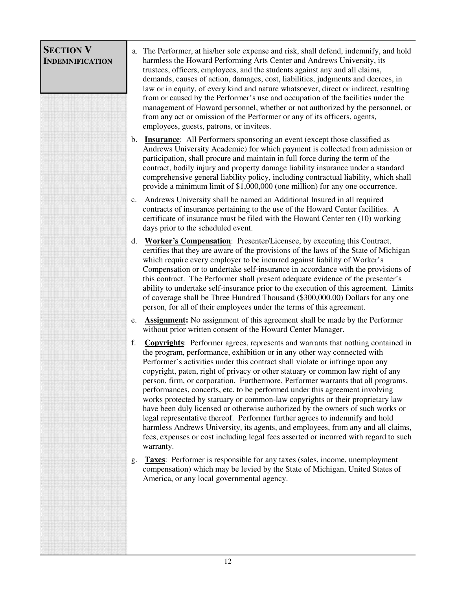<span id="page-11-0"></span>

| <b>SECTION V</b><br><b>INDEMNIFICATION</b> |    | a. The Performer, at his/her sole expense and risk, shall defend, indemnify, and hold<br>harmless the Howard Performing Arts Center and Andrews University, its<br>trustees, officers, employees, and the students against any and all claims,<br>demands, causes of action, damages, cost, liabilities, judgments and decrees, in<br>law or in equity, of every kind and nature whatsoever, direct or indirect, resulting<br>from or caused by the Performer's use and occupation of the facilities under the<br>management of Howard personnel, whether or not authorized by the personnel, or<br>from any act or omission of the Performer or any of its officers, agents,<br>employees, guests, patrons, or invitees.                                                                                                                                                                                                                            |
|--------------------------------------------|----|------------------------------------------------------------------------------------------------------------------------------------------------------------------------------------------------------------------------------------------------------------------------------------------------------------------------------------------------------------------------------------------------------------------------------------------------------------------------------------------------------------------------------------------------------------------------------------------------------------------------------------------------------------------------------------------------------------------------------------------------------------------------------------------------------------------------------------------------------------------------------------------------------------------------------------------------------|
|                                            |    | b. Insurance: All Performers sponsoring an event (except those classified as<br>Andrews University Academic) for which payment is collected from admission or<br>participation, shall procure and maintain in full force during the term of the<br>contract, bodily injury and property damage liability insurance under a standard<br>comprehensive general liability policy, including contractual liability, which shall<br>provide a minimum limit of \$1,000,000 (one million) for any one occurrence.                                                                                                                                                                                                                                                                                                                                                                                                                                          |
|                                            |    | c. Andrews University shall be named an Additional Insured in all required<br>contracts of insurance pertaining to the use of the Howard Center facilities. A<br>certificate of insurance must be filed with the Howard Center ten (10) working<br>days prior to the scheduled event.                                                                                                                                                                                                                                                                                                                                                                                                                                                                                                                                                                                                                                                                |
|                                            | d. | <b>Worker's Compensation:</b> Presenter/Licensee, by executing this Contract,<br>certifies that they are aware of the provisions of the laws of the State of Michigan<br>which require every employer to be incurred against liability of Worker's<br>Compensation or to undertake self-insurance in accordance with the provisions of<br>this contract. The Performer shall present adequate evidence of the presenter's<br>ability to undertake self-insurance prior to the execution of this agreement. Limits<br>of coverage shall be Three Hundred Thousand (\$300,000.00) Dollars for any one<br>person, for all of their employees under the terms of this agreement.                                                                                                                                                                                                                                                                         |
|                                            | e. | <b>Assignment:</b> No assignment of this agreement shall be made by the Performer<br>without prior written consent of the Howard Center Manager.                                                                                                                                                                                                                                                                                                                                                                                                                                                                                                                                                                                                                                                                                                                                                                                                     |
|                                            | f. | <b>Copyrights:</b> Performer agrees, represents and warrants that nothing contained in<br>the program, performance, exhibition or in any other way connected with<br>Performer's activities under this contract shall violate or infringe upon any<br>copyright, paten, right of privacy or other statuary or common law right of any<br>person, firm, or corporation. Furthermore, Performer warrants that all programs,<br>performances, concerts, etc. to be performed under this agreement involving<br>works protected by statuary or common-law copyrights or their proprietary law<br>have been duly licensed or otherwise authorized by the owners of such works or<br>legal representative thereof. Performer further agrees to indemnify and hold<br>harmless Andrews University, its agents, and employees, from any and all claims,<br>fees, expenses or cost including legal fees asserted or incurred with regard to such<br>warranty. |
|                                            | g. | <b>Taxes:</b> Performer is responsible for any taxes (sales, income, unemployment<br>compensation) which may be levied by the State of Michigan, United States of<br>America, or any local governmental agency.                                                                                                                                                                                                                                                                                                                                                                                                                                                                                                                                                                                                                                                                                                                                      |
|                                            |    |                                                                                                                                                                                                                                                                                                                                                                                                                                                                                                                                                                                                                                                                                                                                                                                                                                                                                                                                                      |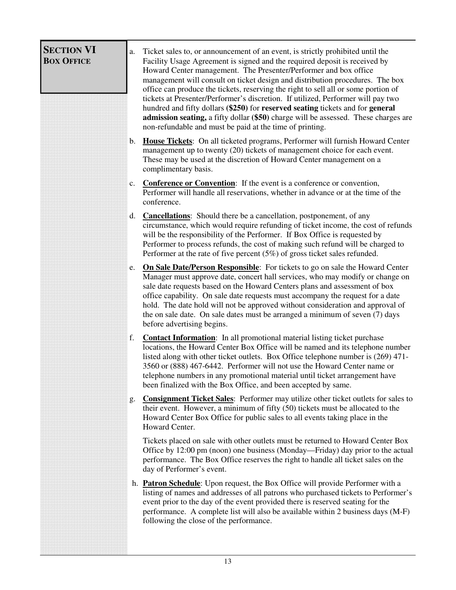<span id="page-12-0"></span>

| <b>SECTION VI</b><br><b>BOX OFFICE</b> | Ticket sales to, or announcement of an event, is strictly prohibited until the<br>a.<br>Facility Usage Agreement is signed and the required deposit is received by<br>Howard Center management. The Presenter/Performer and box office<br>management will consult on ticket design and distribution procedures. The box<br>office can produce the tickets, reserving the right to sell all or some portion of<br>tickets at Presenter/Performer's discretion. If utilized, Performer will pay two<br>hundred and fifty dollars (\$250) for reserved seating tickets and for general<br>admission seating, a fifty dollar (\$50) charge will be assessed. These charges are<br>non-refundable and must be paid at the time of printing. |
|----------------------------------------|----------------------------------------------------------------------------------------------------------------------------------------------------------------------------------------------------------------------------------------------------------------------------------------------------------------------------------------------------------------------------------------------------------------------------------------------------------------------------------------------------------------------------------------------------------------------------------------------------------------------------------------------------------------------------------------------------------------------------------------|
|                                        | House Tickets: On all ticketed programs, Performer will furnish Howard Center<br>$\mathbf{b}$ .<br>management up to twenty (20) tickets of management choice for each event.<br>These may be used at the discretion of Howard Center management on a<br>complimentary basis.                                                                                                                                                                                                                                                                                                                                                                                                                                                           |
|                                        | <b>Conference or Convention:</b> If the event is a conference or convention,<br>c.<br>Performer will handle all reservations, whether in advance or at the time of the<br>conference.                                                                                                                                                                                                                                                                                                                                                                                                                                                                                                                                                  |
|                                        | <b>Cancellations:</b> Should there be a cancellation, postponement, of any<br>d.<br>circumstance, which would require refunding of ticket income, the cost of refunds<br>will be the responsibility of the Performer. If Box Office is requested by<br>Performer to process refunds, the cost of making such refund will be charged to<br>Performer at the rate of five percent $(5\%)$ of gross ticket sales refunded.                                                                                                                                                                                                                                                                                                                |
|                                        | <b>On Sale Date/Person Responsible:</b> For tickets to go on sale the Howard Center<br>e.<br>Manager must approve date, concert hall services, who may modify or change on<br>sale date requests based on the Howard Centers plans and assessment of box<br>office capability. On sale date requests must accompany the request for a date<br>hold. The date hold will not be approved without consideration and approval of<br>the on sale date. On sale dates must be arranged a minimum of seven (7) days<br>before advertising begins.                                                                                                                                                                                             |
|                                        | f.<br><b>Contact Information:</b> In all promotional material listing ticket purchase<br>locations, the Howard Center Box Office will be named and its telephone number<br>listed along with other ticket outlets. Box Office telephone number is (269) 471-<br>3560 or (888) 467-6442. Performer will not use the Howard Center name or<br>telephone numbers in any promotional material until ticket arrangement have<br>been finalized with the Box Office, and been accepted by same.                                                                                                                                                                                                                                              |
|                                        | <b>Consignment Ticket Sales:</b> Performer may utilize other ticket outlets for sales to<br>g.<br>their event. However, a minimum of fifty (50) tickets must be allocated to the<br>Howard Center Box Office for public sales to all events taking place in the<br>Howard Center.                                                                                                                                                                                                                                                                                                                                                                                                                                                      |
|                                        | Tickets placed on sale with other outlets must be returned to Howard Center Box<br>Office by 12:00 pm (noon) one business (Monday—Friday) day prior to the actual<br>performance. The Box Office reserves the right to handle all ticket sales on the<br>day of Performer's event.                                                                                                                                                                                                                                                                                                                                                                                                                                                     |
|                                        | h. <b>Patron Schedule</b> : Upon request, the Box Office will provide Performer with a<br>listing of names and addresses of all patrons who purchased tickets to Performer's<br>event prior to the day of the event provided there is reserved seating for the<br>performance. A complete list will also be available within 2 business days (M-F)<br>following the close of the performance.                                                                                                                                                                                                                                                                                                                                          |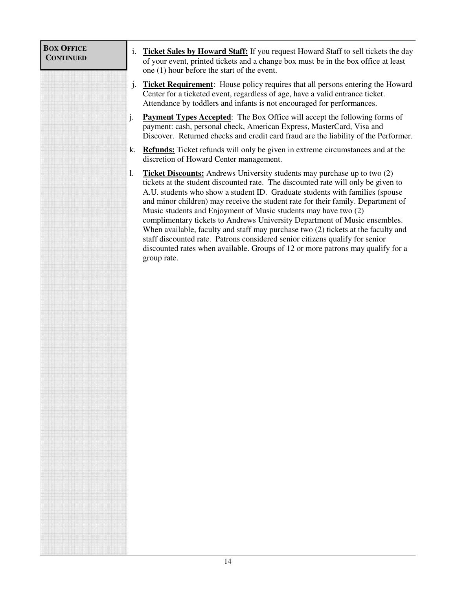<span id="page-13-0"></span>

| <b>BOX OFFICE</b><br><b>CONTINUED</b> | <b>Ticket Sales by Howard Staff:</b> If you request Howard Staff to sell tickets the day<br>i.<br>of your event, printed tickets and a change box must be in the box office at least<br>one (1) hour before the start of the event.                                                                                                                                                                                                                                                                                                                                                                                                                                                                                                                                    |
|---------------------------------------|------------------------------------------------------------------------------------------------------------------------------------------------------------------------------------------------------------------------------------------------------------------------------------------------------------------------------------------------------------------------------------------------------------------------------------------------------------------------------------------------------------------------------------------------------------------------------------------------------------------------------------------------------------------------------------------------------------------------------------------------------------------------|
|                                       | <b>Ticket Requirement:</b> House policy requires that all persons entering the Howard<br>j.<br>Center for a ticketed event, regardless of age, have a valid entrance ticket.<br>Attendance by toddlers and infants is not encouraged for performances.                                                                                                                                                                                                                                                                                                                                                                                                                                                                                                                 |
|                                       | <b>Payment Types Accepted:</b> The Box Office will accept the following forms of<br>j.<br>payment: cash, personal check, American Express, MasterCard, Visa and<br>Discover. Returned checks and credit card fraud are the liability of the Performer.                                                                                                                                                                                                                                                                                                                                                                                                                                                                                                                 |
|                                       | <b>Refunds:</b> Ticket refunds will only be given in extreme circumstances and at the<br>k.<br>discretion of Howard Center management.                                                                                                                                                                                                                                                                                                                                                                                                                                                                                                                                                                                                                                 |
|                                       | <b>Ticket Discounts:</b> Andrews University students may purchase up to two (2)<br>1.<br>tickets at the student discounted rate. The discounted rate will only be given to<br>A.U. students who show a student ID. Graduate students with families (spouse<br>and minor children) may receive the student rate for their family. Department of<br>Music students and Enjoyment of Music students may have two (2)<br>complimentary tickets to Andrews University Department of Music ensembles.<br>When available, faculty and staff may purchase two (2) tickets at the faculty and<br>staff discounted rate. Patrons considered senior citizens qualify for senior<br>discounted rates when available. Groups of 12 or more patrons may qualify for a<br>group rate. |
|                                       |                                                                                                                                                                                                                                                                                                                                                                                                                                                                                                                                                                                                                                                                                                                                                                        |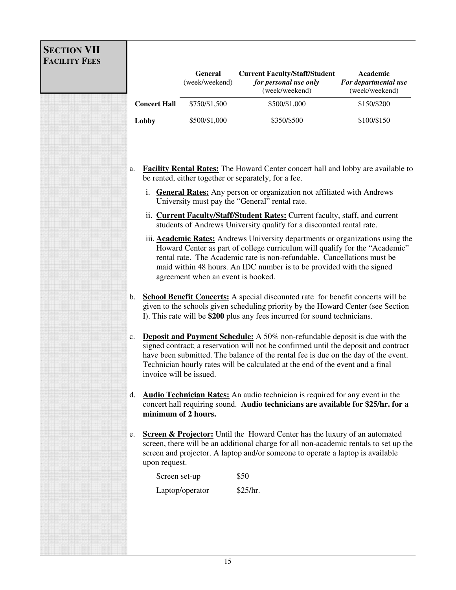<span id="page-14-0"></span>

| <b>SECTION VII</b><br><b>FACILITY FEES</b> |                                                                                                                                                                                                                                                                                                                                                                |                                  |                                                                                                                                                                                                                                                                                                                                                  |                                                    |  |
|--------------------------------------------|----------------------------------------------------------------------------------------------------------------------------------------------------------------------------------------------------------------------------------------------------------------------------------------------------------------------------------------------------------------|----------------------------------|--------------------------------------------------------------------------------------------------------------------------------------------------------------------------------------------------------------------------------------------------------------------------------------------------------------------------------------------------|----------------------------------------------------|--|
|                                            |                                                                                                                                                                                                                                                                                                                                                                | <b>General</b><br>(week/weekend) | <b>Current Faculty/Staff/Student</b><br>for personal use only<br>(week/weekend)                                                                                                                                                                                                                                                                  | Academic<br>For departmental use<br>(week/weekend) |  |
|                                            | <b>Concert Hall</b>                                                                                                                                                                                                                                                                                                                                            | \$750/\$1,500                    | \$500/\$1,000                                                                                                                                                                                                                                                                                                                                    | \$150/\$200                                        |  |
|                                            | Lobby                                                                                                                                                                                                                                                                                                                                                          | \$500/\$1,000                    | \$350/\$500                                                                                                                                                                                                                                                                                                                                      | \$100/\$150                                        |  |
|                                            | <b>Facility Rental Rates:</b> The Howard Center concert hall and lobby are available to<br>a.<br>be rented, either together or separately, for a fee.<br>i. General Rates: Any person or organization not affiliated with Andrews<br>University must pay the "General" rental rate.                                                                            |                                  |                                                                                                                                                                                                                                                                                                                                                  |                                                    |  |
|                                            | ii. Current Faculty/Staff/Student Rates: Current faculty, staff, and current<br>students of Andrews University qualify for a discounted rental rate.                                                                                                                                                                                                           |                                  |                                                                                                                                                                                                                                                                                                                                                  |                                                    |  |
|                                            | iii. <b>Academic Rates:</b> Andrews University departments or organizations using the<br>Howard Center as part of college curriculum will qualify for the "Academic"<br>rental rate. The Academic rate is non-refundable. Cancellations must be<br>maid within 48 hours. An IDC number is to be provided with the signed<br>agreement when an event is booked. |                                  |                                                                                                                                                                                                                                                                                                                                                  |                                                    |  |
|                                            | b.                                                                                                                                                                                                                                                                                                                                                             |                                  | <b>School Benefit Concerts:</b> A special discounted rate for benefit concerts will be<br>given to the schools given scheduling priority by the Howard Center (see Section<br>I). This rate will be \$200 plus any fees incurred for sound technicians.                                                                                          |                                                    |  |
|                                            | $\mathbf{c}$ .                                                                                                                                                                                                                                                                                                                                                 | invoice will be issued.          | <b>Deposit and Payment Schedule:</b> A 50% non-refundable deposit is due with the<br>signed contract; a reservation will not be confirmed until the deposit and contract<br>have been submitted. The balance of the rental fee is due on the day of the event.<br>Technician hourly rates will be calculated at the end of the event and a final |                                                    |  |
|                                            | <b>Audio Technician Rates:</b> An audio technician is required for any event in the<br>d.<br>concert hall requiring sound. Audio technicians are available for \$25/hr. for a<br>minimum of 2 hours.                                                                                                                                                           |                                  |                                                                                                                                                                                                                                                                                                                                                  |                                                    |  |
|                                            | <b>Screen &amp; Projector:</b> Until the Howard Center has the luxury of an automated<br>e.<br>screen, there will be an additional charge for all non-academic rentals to set up the<br>screen and projector. A laptop and/or someone to operate a laptop is available<br>upon request.                                                                        |                                  |                                                                                                                                                                                                                                                                                                                                                  |                                                    |  |
|                                            | Screen set-up                                                                                                                                                                                                                                                                                                                                                  |                                  | \$50                                                                                                                                                                                                                                                                                                                                             |                                                    |  |
|                                            |                                                                                                                                                                                                                                                                                                                                                                | Laptop/operator                  | \$25/hr.                                                                                                                                                                                                                                                                                                                                         |                                                    |  |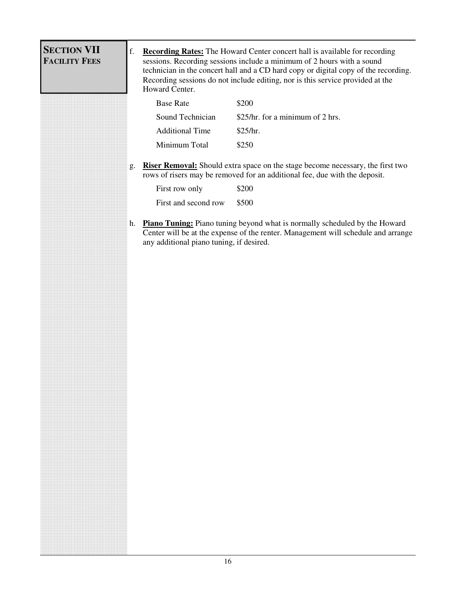<span id="page-15-0"></span>

| <b>SECTION VII</b><br>f.<br><b>FACILITY FEES</b><br>sessions. Recording sessions include a minimum of 2 hours with a sound |                                                                                                                                                                                                                                                            |  |  |  |
|----------------------------------------------------------------------------------------------------------------------------|------------------------------------------------------------------------------------------------------------------------------------------------------------------------------------------------------------------------------------------------------------|--|--|--|
| Howard Center.                                                                                                             | <b>Recording Rates:</b> The Howard Center concert hall is available for recording<br>technician in the concert hall and a CD hard copy or digital copy of the recording.<br>Recording sessions do not include editing, nor is this service provided at the |  |  |  |
| <b>Base Rate</b><br>\$200                                                                                                  |                                                                                                                                                                                                                                                            |  |  |  |
| Sound Technician<br>\$25/hr. for a minimum of 2 hrs.                                                                       |                                                                                                                                                                                                                                                            |  |  |  |
| <b>Additional Time</b><br>\$25/hr.                                                                                         |                                                                                                                                                                                                                                                            |  |  |  |
| Minimum Total<br>\$250                                                                                                     |                                                                                                                                                                                                                                                            |  |  |  |
| g.<br>rows of risers may be removed for an additional fee, due with the deposit.                                           | <b>Riser Removal:</b> Should extra space on the stage become necessary, the first two                                                                                                                                                                      |  |  |  |
| First row only<br>\$200                                                                                                    |                                                                                                                                                                                                                                                            |  |  |  |
| First and second row<br>\$500                                                                                              |                                                                                                                                                                                                                                                            |  |  |  |
| any additional piano tuning, if desired.                                                                                   |                                                                                                                                                                                                                                                            |  |  |  |